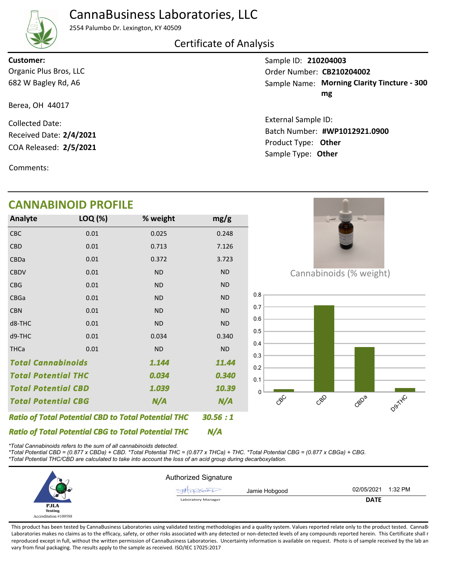# CannaBusiness Laboratories, LLC



2554 Palumbo Dr. Lexington, KY 40509

## Certificate of Analysis

## Organic Plus Bros, LLC **Customer:**

Berea, OH 44017

682 W Bagley Rd, A6

COA Released: 2/5/2021 Collected Date: Received Date: **2/4/2021**

Comments:

## **CANNABINOID PROFILE**

| Analyte                                                    | LOQ (%) | % weight  | mg/g      |  |
|------------------------------------------------------------|---------|-----------|-----------|--|
| CBC                                                        | 0.01    | 0.025     | 0.248     |  |
| <b>CBD</b>                                                 | 0.01    | 0.713     | 7.126     |  |
| CBDa                                                       | 0.01    | 0.372     | 3.723     |  |
| <b>CBDV</b>                                                | 0.01    | <b>ND</b> | <b>ND</b> |  |
| <b>CBG</b>                                                 | 0.01    | <b>ND</b> | <b>ND</b> |  |
| CBGa                                                       | 0.01    | <b>ND</b> | <b>ND</b> |  |
| <b>CBN</b>                                                 | 0.01    | <b>ND</b> | <b>ND</b> |  |
| d8-THC                                                     | 0.01    | <b>ND</b> | <b>ND</b> |  |
| d9-THC                                                     | 0.01    | 0.034     | 0.340     |  |
| <b>THCa</b>                                                | 0.01    | <b>ND</b> | <b>ND</b> |  |
| <b>Total Cannabinoids</b><br>1.144                         |         |           | 11.44     |  |
| <b>Total Potential THC</b>                                 |         | 0.034     | 0.340     |  |
| <b>Total Potential CBD</b>                                 |         | 1.039     | 10.39     |  |
| <b>Total Potential CBG</b><br>N/A                          |         |           | N/A       |  |
| <b>Ratio of Total Potential CBD to Total Potential THC</b> | 30.56:1 |           |           |  |

Cannabinoids (% weight)



*\*Total Cannabinoids refers to the sum of all cannabinoids detected.*

*Ratio of Total Potential CBG to Total Potential THC*

*\*Total Potential CBD = (0.877 x CBDa) + CBD. \*Total Potential THC = (0.877 x THCa) + THC. \*Total Potential CBG = (0.877 x CBGa) + CBG. \*Total Potential THC/CBD are calculated to take into account the loss of an acid group during decarboxylation.*



*N/A*

This product has been tested by CannaBusiness Laboratories using validated testing methodologies and a quality system. Values reported relate only to the product tested. CannaB Laboratories makes no claims as to the efficacy, safety, or other risks associated with any detected or non-detected levels of any compounds reported herein. This Certificate shall r reproduced except in full, without the written permission of CannaBusiness Laboratories. Uncertainty information is available on request. Photo is of sample received by the lab an vary from final packaging. The results apply to the sample as received. ISO/IEC 17025:2017

Sample ID: **210204003**

Sample Name: Morning Clarity Tincture - 300 **mg** Order Number: CB210204002

Product Type: **Other 2/5/2021 #WP1012921.0900** Batch Number: External Sample ID: Sample Type: **Other**